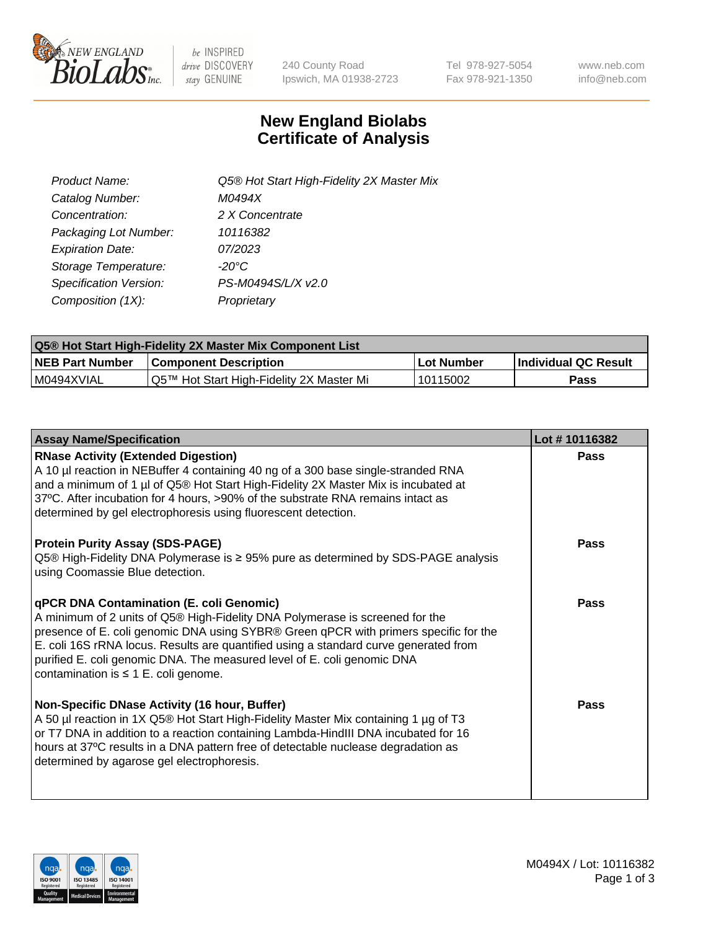

be INSPIRED drive DISCOVERY stay GENUINE

240 County Road Ipswich, MA 01938-2723 Tel 978-927-5054 Fax 978-921-1350 www.neb.com info@neb.com

## **New England Biolabs Certificate of Analysis**

| Product Name:           | Q5® Hot Start High-Fidelity 2X Master Mix |
|-------------------------|-------------------------------------------|
| Catalog Number:         | M0494X                                    |
| Concentration:          | 2 X Concentrate                           |
| Packaging Lot Number:   | 10116382                                  |
| <b>Expiration Date:</b> | 07/2023                                   |
| Storage Temperature:    | $-20^{\circ}$ C                           |
| Specification Version:  | PS-M0494S/L/X v2.0                        |
| Composition (1X):       | Proprietary                               |

| <b>Q5® Hot Start High-Fidelity 2X Master Mix Component List</b> |                                          |             |                      |  |  |
|-----------------------------------------------------------------|------------------------------------------|-------------|----------------------|--|--|
| <b>NEB Part Number</b>                                          | Component Description_                   | ∣Lot Number | Individual QC Result |  |  |
| IM0494XVIAL                                                     | Q5™ Hot Start High-Fidelity 2X Master Mi | 10115002    | Pass                 |  |  |

| <b>Assay Name/Specification</b>                                                                                                                                                                                                                                                                                                                                                                                                         | Lot #10116382 |
|-----------------------------------------------------------------------------------------------------------------------------------------------------------------------------------------------------------------------------------------------------------------------------------------------------------------------------------------------------------------------------------------------------------------------------------------|---------------|
| <b>RNase Activity (Extended Digestion)</b><br>A 10 µl reaction in NEBuffer 4 containing 40 ng of a 300 base single-stranded RNA<br>and a minimum of 1 µl of Q5® Hot Start High-Fidelity 2X Master Mix is incubated at<br>37°C. After incubation for 4 hours, >90% of the substrate RNA remains intact as<br>determined by gel electrophoresis using fluorescent detection.                                                              | Pass          |
| <b>Protein Purity Assay (SDS-PAGE)</b><br>Q5® High-Fidelity DNA Polymerase is ≥ 95% pure as determined by SDS-PAGE analysis<br>using Coomassie Blue detection.                                                                                                                                                                                                                                                                          | Pass          |
| <b>qPCR DNA Contamination (E. coli Genomic)</b><br>A minimum of 2 units of Q5® High-Fidelity DNA Polymerase is screened for the<br>presence of E. coli genomic DNA using SYBR® Green qPCR with primers specific for the<br>E. coli 16S rRNA locus. Results are quantified using a standard curve generated from<br>purified E. coli genomic DNA. The measured level of E. coli genomic DNA<br>contamination is $\leq 1$ E. coli genome. | Pass          |
| Non-Specific DNase Activity (16 hour, Buffer)<br>A 50 µl reaction in 1X Q5® Hot Start High-Fidelity Master Mix containing 1 µg of T3<br>or T7 DNA in addition to a reaction containing Lambda-HindIII DNA incubated for 16<br>hours at 37°C results in a DNA pattern free of detectable nuclease degradation as<br>determined by agarose gel electrophoresis.                                                                           | Pass          |

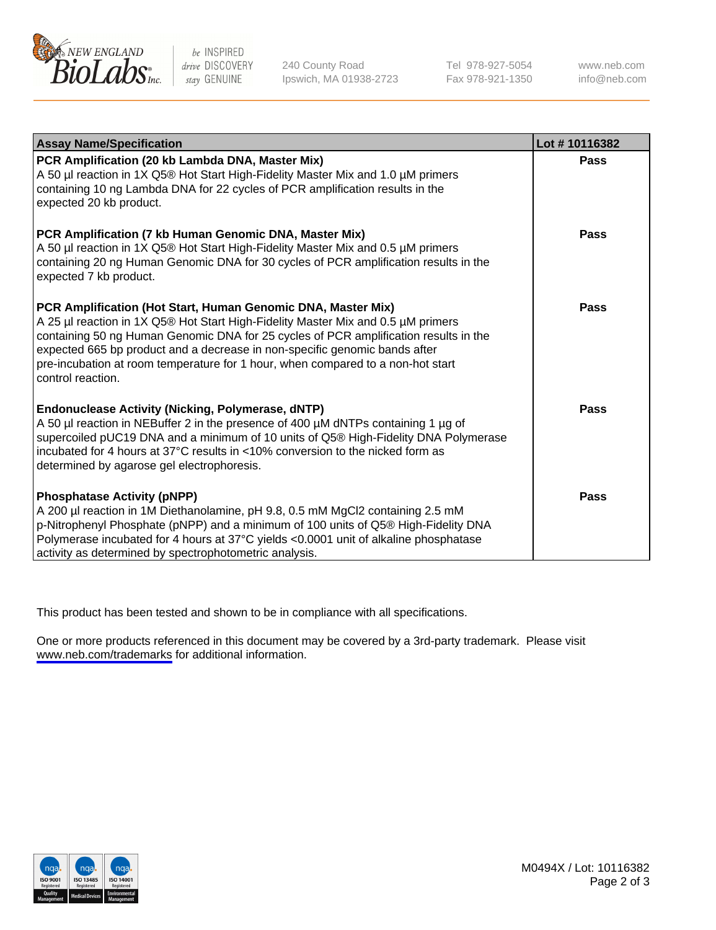

be INSPIRED drive DISCOVERY stay GENUINE

240 County Road Ipswich, MA 01938-2723 Tel 978-927-5054 Fax 978-921-1350

www.neb.com info@neb.com

| <b>Assay Name/Specification</b>                                                                                                                                                                                                                                                                                                                                                                                                | Lot #10116382 |
|--------------------------------------------------------------------------------------------------------------------------------------------------------------------------------------------------------------------------------------------------------------------------------------------------------------------------------------------------------------------------------------------------------------------------------|---------------|
| PCR Amplification (20 kb Lambda DNA, Master Mix)<br>A 50 µl reaction in 1X Q5® Hot Start High-Fidelity Master Mix and 1.0 µM primers<br>containing 10 ng Lambda DNA for 22 cycles of PCR amplification results in the<br>expected 20 kb product.                                                                                                                                                                               | Pass          |
| PCR Amplification (7 kb Human Genomic DNA, Master Mix)<br>A 50 µl reaction in 1X Q5® Hot Start High-Fidelity Master Mix and 0.5 µM primers<br>containing 20 ng Human Genomic DNA for 30 cycles of PCR amplification results in the<br>expected 7 kb product.                                                                                                                                                                   | Pass          |
| PCR Amplification (Hot Start, Human Genomic DNA, Master Mix)<br>A 25 µl reaction in 1X Q5® Hot Start High-Fidelity Master Mix and 0.5 µM primers<br>containing 50 ng Human Genomic DNA for 25 cycles of PCR amplification results in the<br>expected 665 bp product and a decrease in non-specific genomic bands after<br>pre-incubation at room temperature for 1 hour, when compared to a non-hot start<br>control reaction. | Pass          |
| <b>Endonuclease Activity (Nicking, Polymerase, dNTP)</b><br>A 50 µl reaction in NEBuffer 2 in the presence of 400 µM dNTPs containing 1 µg of<br>supercoiled pUC19 DNA and a minimum of 10 units of Q5® High-Fidelity DNA Polymerase<br>incubated for 4 hours at 37°C results in <10% conversion to the nicked form as<br>determined by agarose gel electrophoresis.                                                           | <b>Pass</b>   |
| <b>Phosphatase Activity (pNPP)</b><br>A 200 µl reaction in 1M Diethanolamine, pH 9.8, 0.5 mM MgCl2 containing 2.5 mM<br>p-Nitrophenyl Phosphate (pNPP) and a minimum of 100 units of Q5® High-Fidelity DNA<br>Polymerase incubated for 4 hours at 37°C yields <0.0001 unit of alkaline phosphatase<br>activity as determined by spectrophotometric analysis.                                                                   | Pass          |

This product has been tested and shown to be in compliance with all specifications.

One or more products referenced in this document may be covered by a 3rd-party trademark. Please visit <www.neb.com/trademarks>for additional information.